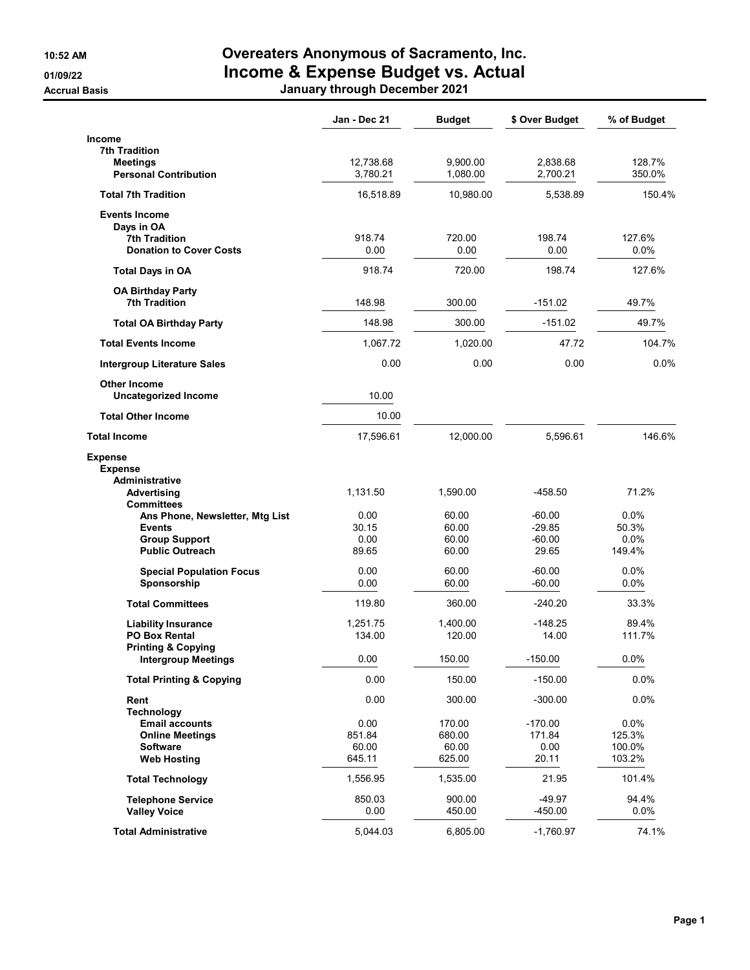## 10:52 AM Overeaters Anonymous of Sacramento, Inc. 01/09/22 **Income & Expense Budget vs. Actual** Accrual Basis January through December 2021

|                                                       | Jan - Dec 21  | <b>Budget</b>  | \$ Over Budget       | % of Budget   |
|-------------------------------------------------------|---------------|----------------|----------------------|---------------|
| <b>Income</b>                                         |               |                |                      |               |
| <b>7th Tradition</b><br>Meetings                      | 12,738.68     | 9,900.00       | 2,838.68             | 128.7%        |
| <b>Personal Contribution</b>                          | 3,780.21      | 1,080.00       | 2,700.21             | 350.0%        |
| <b>Total 7th Tradition</b>                            | 16,518.89     | 10,980.00      | 5,538.89             | 150.4%        |
| <b>Events Income</b>                                  |               |                |                      |               |
| Days in OA<br><b>7th Tradition</b>                    | 918.74        | 720.00         | 198.74               | 127.6%        |
| <b>Donation to Cover Costs</b>                        | 0.00          | 0.00           | 0.00                 | $0.0\%$       |
| <b>Total Days in OA</b>                               | 918.74        | 720.00         | 198.74               | 127.6%        |
| <b>OA Birthday Party</b>                              |               |                |                      |               |
| <b>7th Tradition</b>                                  | 148.98        | 300.00         | $-151.02$            | 49.7%         |
| <b>Total OA Birthday Party</b>                        | 148.98        | 300.00         | $-151.02$            | 49.7%         |
| <b>Total Events Income</b>                            | 1,067.72      | 1,020.00       | 47.72                | 104.7%        |
| <b>Intergroup Literature Sales</b>                    | 0.00          | 0.00           | 0.00                 | 0.0%          |
| <b>Other Income</b><br><b>Uncategorized Income</b>    | 10.00         |                |                      |               |
| <b>Total Other Income</b>                             | 10.00         |                |                      |               |
| <b>Total Income</b>                                   | 17,596.61     | 12,000.00      | 5,596.61             | 146.6%        |
| <b>Expense</b><br><b>Expense</b>                      |               |                |                      |               |
| Administrative                                        |               |                |                      |               |
| Advertising<br><b>Committees</b>                      | 1,131.50      | 1,590.00       | $-458.50$            | 71.2%         |
| Ans Phone, Newsletter, Mtg List                       | 0.00          | 60.00          | $-60.00$             | 0.0%          |
| <b>Events</b><br><b>Group Support</b>                 | 30.15<br>0.00 | 60.00<br>60.00 | $-29.85$<br>$-60.00$ | 50.3%<br>0.0% |
| <b>Public Outreach</b>                                | 89.65         | 60.00          | 29.65                | 149.4%        |
| <b>Special Population Focus</b>                       | 0.00          | 60.00          | $-60.00$             | 0.0%          |
| Sponsorship                                           | 0.00          | 60.00          | -60.00               | 0.0%          |
| <b>Total Committees</b>                               | 119.80        | 360.00         | $-240.20$            | 33.3%         |
| <b>Liability Insurance</b>                            | 1,251.75      | 1,400.00       | $-148.25$            | 89.4%         |
| <b>PO Box Rental</b><br><b>Printing &amp; Copying</b> | 134.00        | 120.00         | 14.00                | 111.7%        |
| Intergroup Meetings                                   | 0.00          | 150.00         | $-150.00$            | 0.0%          |
| <b>Total Printing &amp; Copying</b>                   | 0.00          | 150.00         | $-150.00$            | 0.0%          |
| Rent                                                  | 0.00          | 300.00         | $-300.00$            | 0.0%          |
| <b>Technology</b><br><b>Email accounts</b>            | 0.00          | 170.00         | $-170.00$            | 0.0%          |
| <b>Online Meetings</b>                                | 851.84        | 680.00         | 171.84               | 125.3%        |
| <b>Software</b>                                       | 60.00         | 60.00          | 0.00                 | 100.0%        |
| <b>Web Hosting</b>                                    | 645.11        | 625.00         | 20.11                | 103.2%        |
| <b>Total Technology</b>                               | 1,556.95      | 1,535.00       | 21.95                | 101.4%        |
| <b>Telephone Service</b>                              | 850.03        | 900.00         | $-49.97$             | 94.4%         |
| <b>Valley Voice</b>                                   | 0.00          | 450.00         | $-450.00$            | 0.0%          |
| <b>Total Administrative</b>                           | 5,044.03      | 6,805.00       | $-1,760.97$          | 74.1%         |